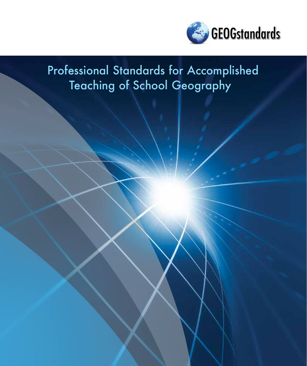

## Professional Standards for Accomplished Teaching of School Geography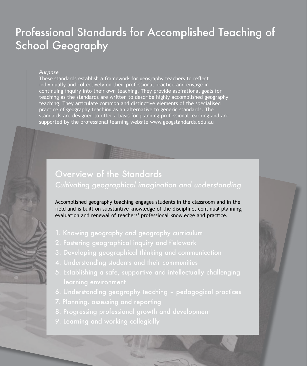# School Geography

#### *Purpose*

These standards establish a framework for geography teachers to reflect individually and collectively on their professional practice and engage in continuing inquiry into their own teaching. They provide aspirational goals for teaching as the standards are written to describe highly accomplished geography teaching. They articulate common and distinctive elements of the specialised practice of geography teaching as an alternative to generic standards. The standards are designed to offer a basis for planning professional learning and are **School Geography**<br>
School Geography<br>
There are the professional professional professional professional professional professional professional professional professional professional professional professional professional p

## Overview of the Standards *Cultivating geographical imagination and understanding*

Accomplished geography teaching engages students in the classroom and in the field and is built on substantive knowledge of the discipline, continual planning, evaluation and renewal of teachers' professional knowledge and practice.

- 1. Knowing geography and geography curriculum
- 2. Fostering geographical inquiry and fieldwork
- 3. Developing geographical thinking and communication
- 
- 5. Establishing a safe, supportive and intellectually challenging
- 6. Understanding geography teaching pedagogical practices
- 
- 8. Progressing professional growth and development
-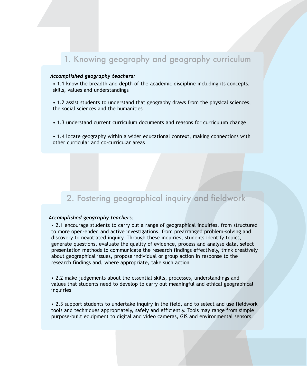## 1. Knowing geography and geography curriculum

#### *Accomplished geography teachers:*

• 1.1 know the breadth and depth of the academic discipline including its concepts, skills, values and understandings

• 1.2 assist students to understand that geography draws from the physical sciences, the social sciences and the humanities

• 1.3 understand current curriculum documents and reasons for curriculum change

• 1.4 locate geography within a wider educational context, making connections with other curricular and co-curricular areas

## 2. Fostering geographical inquiry and fieldwork

#### *Accomplished geography teachers:*

1. Knowing geography and<br>
1. Knowing geography teachers:<br>
1.1 know the breadth and depth of the aca<br>
1.2 assist students to understandings<br>
1.2 assist students to understand that geographes<br>
1.3 understand current curricul • 2.1 encourage students to carry out a range of geographical inquiries, from structured to more open-ended and active investigations, from prearranged problem-solving and discovery to negotiated inquiry. Through these inquiries, students identify topics, generate questions, evaluate the quality of evidence, process and analyse data, select presentation methods to communicate the research findings effectively, think creatively about geographical issues, propose individual or group action in response to the research findings and, where appropriate, take such action 2. Fostering geographical inquiry and fieldwork<br>
ecomptished geography teachers:<br>
2. the crourage students to arry out a range of geographical inquiries, from structured<br>
to more open-ended and active meetigations, from pr

• 2.2 make judgements about the essential skills, processes, understandings and values that students need to develop to carry out meaningful and ethical geographical inquiries

• 2.3 support students to undertake inquiry in the field, and to select and use fieldwork tools and techniques appropriately, safely and efficiently. Tools may range from simple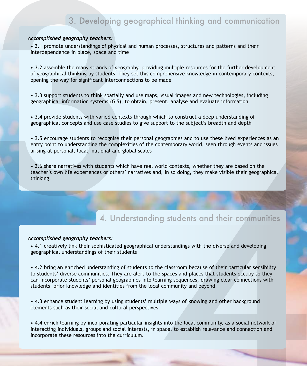## 3. Developing geographical thinking and communication

#### *Accomplished geography teachers:*

• 3.1 promote understandings of physical and human processes, structures and patterns and their interdependence in place, space and time

• 3.2 assemble the many strands of geography, providing multiple resources for the further development of geographical thinking by students. They set this comprehensive knowledge in contemporary contexts, opening the way for significant interconnections to be made

• 3.3 support students to think spatially and use maps, visual images and new technologies, including geographical information systems (GIS), to obtain, present, analyse and evaluate information

• 3.4 provide students with varied contexts through which to construct a deep understanding of geographical concepts and use case studies to give support to the subject's breadth and depth

• 3.5 encourage students to recognise their personal geographies and to use these lived experiences as an entry point to understanding the complexities of the contemporary world, seen through events and issues arising at personal, local, national and global scales

• 3.6 share narratives with students which have real world contexts, whether they are based on the teacher's own life experiences or others' narratives and, in so doing, they make visible their geographical thinking.

## 4. Understanding students and their communities

#### *Accomplished geography teachers:*

• 4.1 creatively link their sophisticated geographical understandings with the diverse and developing geographical understandings of their students

• 4.2 bring an enriched understanding of students to the classroom because of their particular sensibility to students' diverse communities. They are alert to the spaces and places that students occupy so they can incorporate students' personal geographies into learning sequences, drawing clear connections with students' prior knowledge and identities from the local community and beyond 3. Developing geographical thinking and communication<br>Accomptions geography tendence<br>  $\star$  in process conservations of process into the curriculum.<br>
The curriculum is the curriculum of process in product multiple conserve

• 4.3 enhance student learning by using students' multiple ways of knowing and other background elements such as their social and cultural perspectives

• 4.4 enrich learning by incorporating particular insights into the local community, as a social network of interacting individuals, groups and social interests, in space, to establish relevance and connection and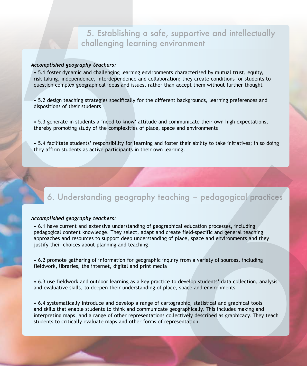## 5. Establishing a safe, supportive and intellectually challenging learning environment

#### *Accomplished geography teachers:*

• 5.1 foster dynamic and challenging learning environments characterised by mutual trust, equity, risk taking, independence, interdependence and collaboration; they create conditions for students to question complex geographical ideas and issues, rather than accept them without further thought

• 5.2 design teaching strategies specifically for the different backgrounds, learning preferences and dispositions of their students

• 5.3 generate in students a 'need to know' attitude and communicate their own high expectations, thereby promoting study of the complexities of place, space and environments

## 6. Understanding geography teaching – pedagogical practices

#### *Accomplished geography teachers:*

4

examplished geography teachers:<br>
• S.1 factor dynamic and challenging learning environments characterised by mutual trust, equity,<br>
• s.1 factor dynamic and challenging learning environments characterised by mutual trust, • 6.1 have current and extensive understanding of geographical education processes, including pedagogical content knowledge. They select, adapt and create field-specific and general teaching approaches and resources to support deep understanding of place, space and environments and they justify their choices about planning and teaching

> • 6.2 promote gathering of information for geographic inquiry from a variety of sources, including fieldwork, libraries, the internet, digital and print media

• 6.3 use fieldwork and outdoor learning as a key practice to develop students' data collection, analysis and evaluative skills, to deepen their understanding of place, space and environments

• 6.4 systematically introduce and develop a range of cartographic, statistical and graphical tools and skills that enable students to think and communicate geographically. This includes making and interpreting maps, and a range of other representations collectively described as graphicacy. They teach State of the critical of the critical of the critical of the critical of the critical of the critical of section of the critical of the pedagogrical of the critical pedagogrical content is mediagogrical content in the peda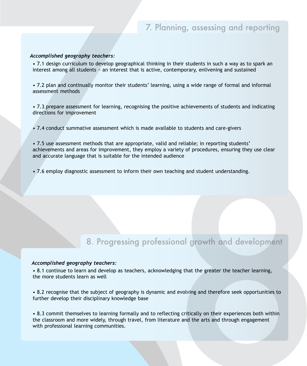#### *Accomplished geography teachers:*

• 7.1 design curriculum to develop geographical thinking in their students in such a way as to spark an interest among all students − an interest that is active, contemporary, enlivening and sustained

• 7.2 plan and continually monitor their students' learning, using a wide range of formal and informal assessment methods

• 7.3 prepare assessment for learning, recognising the positive achievements of students and indicating directions for improvement

• 7.4 conduct summative assessment which is made available to students and care-givers

• 7.5 use assessment methods that are appropriate, valid and reliable; in reporting students' achievements and areas for improvement, they employ a variety of procedures, ensuring they use clear 7. Planning, assessing and recomptished geography teachers:<br>
4.7.1 design curriculum to develop geographical thinking in their students is such a way as the<br>
1.7.2 plan and continually monitor their students' learning, usi

## 8. Progressing professional growth and development

#### *Accomplished geography teachers:*

• 8.1 continue to learn and develop as teachers, acknowledging that the greater the teacher learning, the more students learn as well

• 8.2 recognise that the subject of geography is dynamic and evolving and therefore seek opportunities to further develop their disciplinary knowledge base

• 8.3 commit themselves to learning formally and to reflecting critically on their experiences both within the classroom and more widely, through travel, from literature and the arts and through engagement • 7.6 employ diagnostic assessment to inform their own teaching and student understanding.<br>
8. Progressing professional growth and development<br>
\* 8.1 continue to learn and develop as teachers, acknowledging that the greate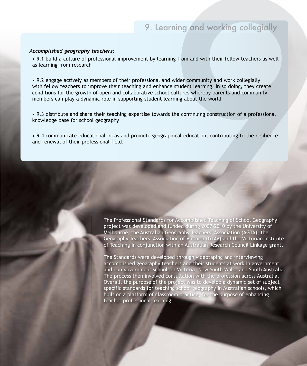## 9. Learning and working collegially

#### *Accomplished geography teachers:*

• 9.1 build a culture of professional improvement by learning from and with their fellow teachers as well as learning from research

• 9.2 engage actively as members of their professional and wider community and work collegially with fellow teachers to improve their teaching and enhance student learning. In so doing, they create conditions for the growth of open and collaborative school cultures whereby parents and community members can play a dynamic role in supporting student learning about the world 9. Learning and working collegially<br>
4. Complished geography teachers:<br>
4. Butile a culture of professional improvement by learning from and with their fellow teachers as well<br>
4. See the professional improvement by learn

• 9.3 distribute and share their teaching expertise towards the continuing construction of a professional knowledge base for school geography

• 9.4 communicate educational ideas and promote geographical education, contributing to the resilience

The Professional Standards for Accomplished Teaching of School Geography project was developed and funded during 2007-2010 by the University of Melbourne, the Australian Geography Teachers' Association (AGTA), the Geography Teachers' Association of Victoria (GTAV) and the Victorian Institute of Teaching in conjunction with an Australian Research Council Linkage grant.

The Standards were developed through videotaping and interviewing accomplished geography teachers and their students at work in government and non-government schools in Victoria, New South Wales and South Australia. The process then involved consultation with the profession across Australia. Overall, the purpose of the project was to develop a dynamic set of subject specific standards for teaching school geography in Australian schools, which The Professional Standards for Accompleting (10ching of School Geography Technical Concernent the Alastralian Geography Technics "Association of Victoria (GTAV) and the Victorian Independent Company in the purpose of enhan